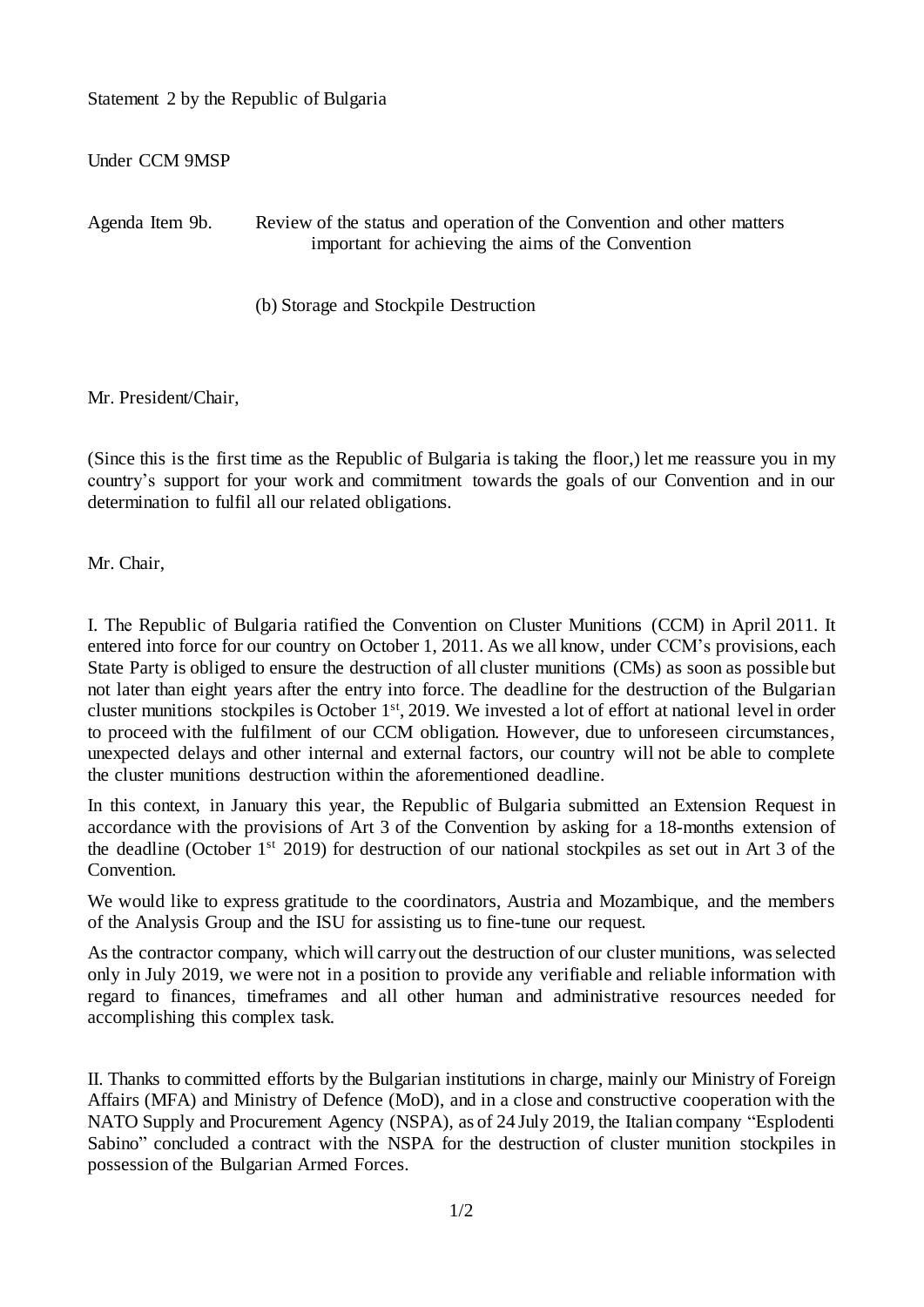Statement 2 by the Republic of Bulgaria

Under CCM 9MSP

Agenda Item 9b. Review of the status and operation of the Convention and other matters important for achieving the aims of the Convention

(b) Storage and Stockpile Destruction

Mr. President/Chair,

(Since this is the first time as the Republic of Bulgaria is taking the floor,) let me reassure you in my country's support for your work and commitment towards the goals of our Convention and in our determination to fulfil all our related obligations.

Mr. Chair,

I. Тhe Republic of Bulgaria ratified the Convention on Cluster Munitions (CCM) in April 2011. It entered into force for our country on October 1, 2011. As we all know, under CCM's provisions, each State Party is obliged to ensure the destruction of all cluster munitions (CMs) as soon as possible but not later than eight years after the entry into force. The deadline for the destruction of the Bulgarian cluster munitions stockpiles is October 1<sup>st</sup>, 2019. We invested a lot of effort at national level in order to proceed with the fulfilment of our CCM obligation. However, due to unforeseen circumstances, unexpected delays and other internal and external factors, our country will not be able to complete the cluster munitions destruction within the aforementioned deadline.

In this context, in January this year, the Republic of Bulgaria submitted an Extension Request in accordance with the provisions of Art 3 of the Convention by asking for а 18-months extension of the deadline (October 1<sup>st</sup> 2019) for destruction of our national stockpiles as set out in Art 3 of the Convention.

We would like to express gratitude to the coordinators, Austria and Mozambique, and the members of the Analysis Group and the ISU for assisting us to fine-tune our request.

As the contractor company, which will carryout the destruction of our cluster munitions, wasselected only in July 2019, we were not in a position to provide any verifiable and reliable information with regard to finances, timeframes and all other human and administrative resources needed for accomplishing this complex task.

II. Thanks to committed efforts by the Bulgarian institutions in charge, mainly our Ministry of Foreign Affairs (MFA) and Ministry of Defence (MoD), and in a close and constructive cooperation with the NATO Supply and Procurement Agency (NSPA), as of 24 July 2019, the Italian company "Esplodenti Sabino" concluded a contract with the NSPA for the destruction of cluster munition stockpiles in possession of the Bulgarian Armed Forces.